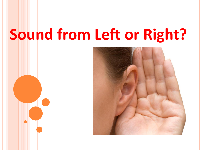# **Sound from Left or Right?**

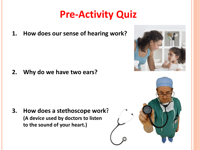# **Pre-Activity Quiz**

**1. How does our sense of hearing work?**

**2. Why do we have two ears?**

**3. How does a stethoscope work? (A device used by doctors to listen to the sound of your heart.)**



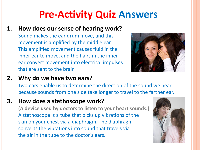# **Pre-Activity Quiz Answers**

- **1. How does our sense of hearing work?**
	- Sound makes the ear drum move, and this movement is amplified by the middle ear. This amplified movement causes fluid in the inner ear to move, and the hairs in the inner ear convert movement into electrical impulses that are sent to the brain



#### **2. Why do we have two ears?**

Two ears enable us to determine the direction of the sound we hear because sounds from one side take longer to travel to the farther ear.

#### **3. How does a stethoscope work?**

**(A device used by doctors to listen to your heart sounds.)** A stethoscope is a tube that picks up vibrations of the skin on your chest via a diaphragm. The diaphragm converts the vibrations into sound that travels via the air in the tube to the doctor's ears.

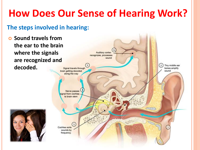# **How Does Our Sense of Hearing Work?**

### **The steps involved in hearing:**

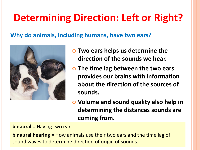# **Determining Direction: Left or Right?**

**Why do animals, including humans, have two ears?** 



- **Two ears helps us determine the direction of the sounds we hear.**
- **The time lag between the two ears provides our brains with information about the direction of the sources of sounds.**
- **Volume and sound quality also help in determining the distances sounds are coming from.**

**binaural** = Having two ears.

**binaural hearing** = How animals use their two ears and the time lag of sound waves to determine direction of origin of sounds.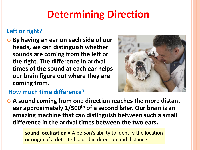# **Determining Direction**

### **Left or right?**

 **By having an ear on each side of our heads, we can distinguish whether sounds are coming from the left or the right. The difference in arrival times of the sound at each ear helps our brain figure out where they are coming from.**



### **How much time difference?**

 **A sound coming from one direction reaches the more distant ear approximately 1/500th of a second later. Our brain is an amazing machine that can distinguish between such a small difference in the arrival times between the two ears.**

> **sound localization** = A person's ability to identify the location or origin of a detected sound in direction and distance.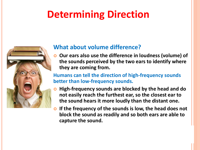# **Determining Direction**



### **What about volume difference?**

 **Our ears also use the difference in loudness (volume) of the sounds perceived by the two ears to identify where they are coming from.** 

**Humans can tell the direction of high-frequency sounds better than low-frequency sounds.**

- **O** High-frequency sounds are blocked by the head and do **not easily reach the furthest ear, so the closest ear to the sound hears it more loudly than the distant one.**
- **If the frequency of the sounds is low, the head does not block the sound as readily and so both ears are able to capture the sound.**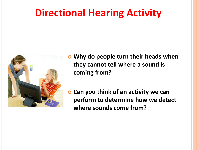## **Directional Hearing Activity**



- **Why do people turn their heads when they cannot tell where a sound is coming from?**
- **Can you think of an activity we can perform to determine how we detect where sounds come from?**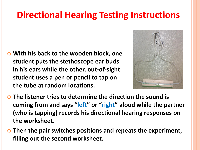### **Directional Hearing Testing Instructions**

 **With his back to the wooden block, one student puts the stethoscope ear buds in his ears while the other, out-of-sight student uses a pen or pencil to tap on the tube at random locations.** 



- **The listener tries to determine the direction the sound is coming from and says "left" or "right" aloud while the partner (who is tapping) records his directional hearing responses on the worksheet.**
- **Then the pair switches positions and repeats the experiment, filling out the second worksheet.**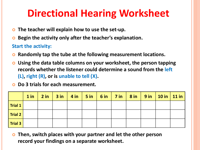# **Directional Hearing Worksheet**

- **The teacher will explain how to use the set-up.**
- **Begin the activity only after the teacher's explanation.**

#### **Start the activity:**

- **Randomly tap the tube at the following measurement locations.**
- **Using the data table columns on your worksheet, the person tapping records whether the listener could determine a sound from the left (L), right (R), or is unable to tell (X).**

#### **Do 3 trials for each measurement.**

|                         |  | $1$ in $\vert$ 2 in $\vert$ 3 in $\vert$ 4 in $\vert$ 5 in $\vert$ 6 in $\vert$ 7 in $\vert$ 8 in $\vert$ 9 in $\vert$ 10 in $\vert$ 11 in |  |  |  |  |
|-------------------------|--|--------------------------------------------------------------------------------------------------------------------------------------------|--|--|--|--|
| $\vert$ Trial 1         |  |                                                                                                                                            |  |  |  |  |
| $\sqrt{ }$ Trial 2      |  |                                                                                                                                            |  |  |  |  |
| $\sqrt{\text{Trial 3}}$ |  |                                                                                                                                            |  |  |  |  |

 **Then, switch places with your partner and let the other person record your findings on a separate worksheet.**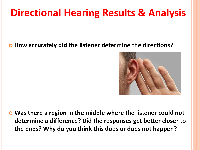# **Directional Hearing Results & Analysis**

### **How accurately did the listener determine the directions?**



 **Was there a region in the middle where the listener could not determine a difference? Did the responses get better closer to the ends? Why do you think this does or does not happen?**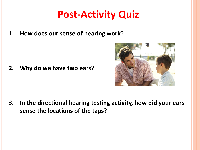# **Post-Activity Quiz**

**1. How does our sense of hearing work?**

**2. Why do we have two ears?**



**3. In the directional hearing testing activity, how did your ears sense the locations of the taps?**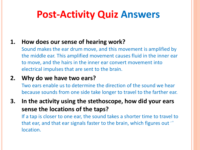# **Post-Activity Quiz Answers**

### **1. How does our sense of hearing work?**

Sound makes the ear drum move, and this movement is amplified by the middle ear. This amplified movement causes fluid in the inner ear to move, and the hairs in the inner ear convert movement into electrical impulses that are sent to the brain.

### **2. Why do we have two ears?**

Two ears enable us to determine the direction of the sound we hear because sounds from one side take longer to travel to the farther ear.

**3. In the activity using the stethoscope, how did your ears sense the locations of the taps?**

If a tap is closer to one ear, the sound takes a shorter time to travel to that ear, and that ear signals faster to the brain, which figures out  $\ddot{\phantom{a}}$ location.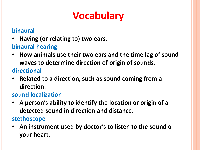# **Vocabulary**

### **binaural**

• **Having (or relating to) two ears.**

### **binaural hearing**

• **How animals use their two ears and the time lag of sound waves to determine direction of origin of sounds.**

### **directional**

• **Related to a direction, such as sound coming from a direction.**

### **sound localization**

• **A person's ability to identify the location or origin of a detected sound in direction and distance.**

### **stethoscope**

• **An instrument used by doctor's to listen to the sound of your heart.**